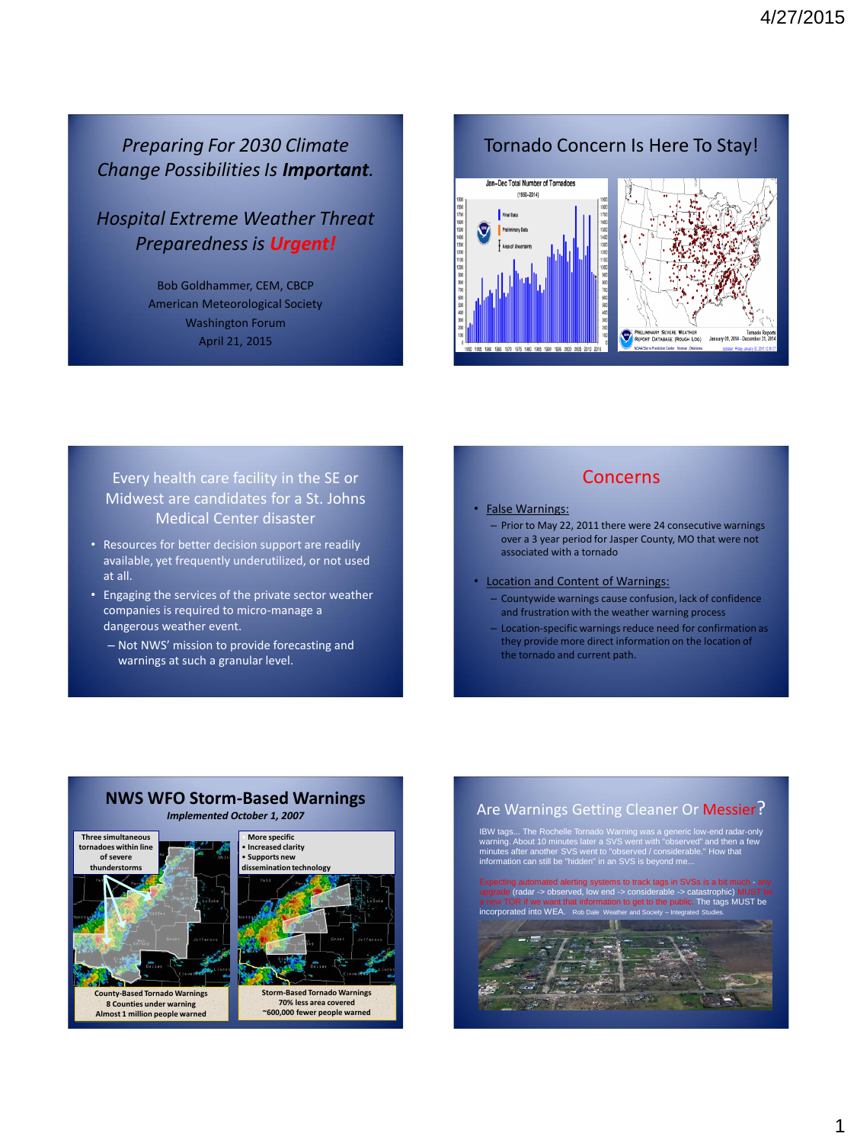# *Preparing For 2030 Climate Change Possibilities Is Important.*

*Hospital Extreme Weather Threat Preparedness is Urgent!*

> Bob Goldhammer, CEM, CBCP American Meteorological Society Washington Forum April 21, 2015

# Tornado Concern Is Here To Stay! Jan-Dec Total Number of Tornadoes  $(1950 - 2014)$

### Every health care facility in the SE or Midwest are candidates for a St. Johns Medical Center disaster

- Resources for better decision support are readily available, yet frequently underutilized, or not used at all.
- Engaging the services of the private sector weather companies is required to micro-manage a dangerous weather event.
	- Not NWS' mission to provide forecasting and warnings at such a granular level.

### Concerns

#### • False Warnings:

55 1960 1965 1970 1975 1980 1985 1990 1995 2000 2005 2010 201

- Prior to May 22, 2011 there were 24 consecutive warnings over a 3 year period for Jasper County, MO that were not associated with a tornado
- Location and Content of Warnings:
	- Countywide warnings cause confusion, lack of confidence and frustration with the weather warning process
	- Location-specific warnings reduce need for confirmation as they provide more direct information on the location of the tornado and current path.



# **NWS WFO Storm-Based Warnings**





### Are Warnings Getting Cleaner Or Messier?

IBW tags... The Rochelle Tornado Warning was a generic low-end radar-only warning. About 10 minutes later a SVS went with "observed" and then a few minutes after another SVS went to "observed / considerable." How that information can still be "hidden" in an SVS is beyond me...

ms to track tags in S bw end -> co abard in Formation to the tags MUST be **incorporate**<br>ad into WEA

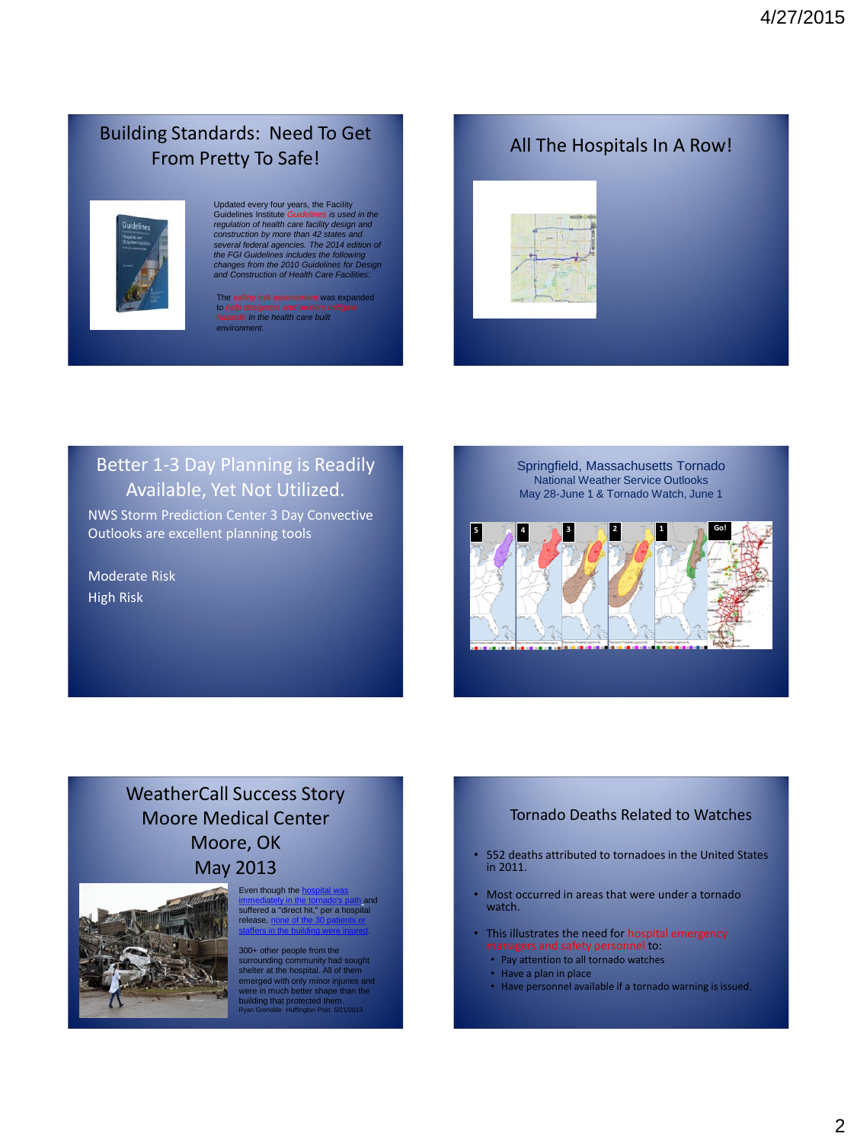# Building Standards: Need To Get From Pretty To Safe!



# Updated every four years, the FaciIity Guidelines Institute Guidelines is used in the<br>regulation of health care facility design and<br>construction by more than 42 states and<br>several federal agencies. The 2014 edition of<br>the FGI Guidelines includes the following<br>c

was expand t*o help designers and owners mitigate hazards in the health care built environment.* 



# Better 1-3 Day Planning is Readily Available, Yet Not Utilized.

NWS Storm Prediction Center 3 Day Convective Outlooks are excellent planning tools

Moderate Risk High Risk

Springfield, Massachusetts Tornado National Weather Service Outlooks May 28-June 1 & Tornado Watch, June 1



# WeatherCall Success Story Moore Medical Center Moore, OK May 2013



Even though the I [immediately in the tornado's path](http://www.cnn.com/video/data/2.0/video/bestoftv/2013/05/21/exp-early-nick-valencia-tornado-injured.cnn.html) and suffered a "direct hit," per a hospital release, [staffers in the building were injured.](http://www.normanregional.com/en/newsroom.html?news_id=305)

300+ other people from the surrounding community had sought shelter at the hospital. All of them emerged with only minor injuries and were in much better shape than the building that protected them. Ryan Grenoble Huffington Post 5/21/2013

### Tornado Deaths Related to Watches

- 552 deaths attributed to tornadoes in the United States in 2011.
- Most occurred in areas that were under a tornado watch.
- This illustrates the need for hospital emergency gers and safety personnel to:
	- Pay attention to all tornado watches
	- Have a plan in place
	- Have personnel available if a tornado warning is issued.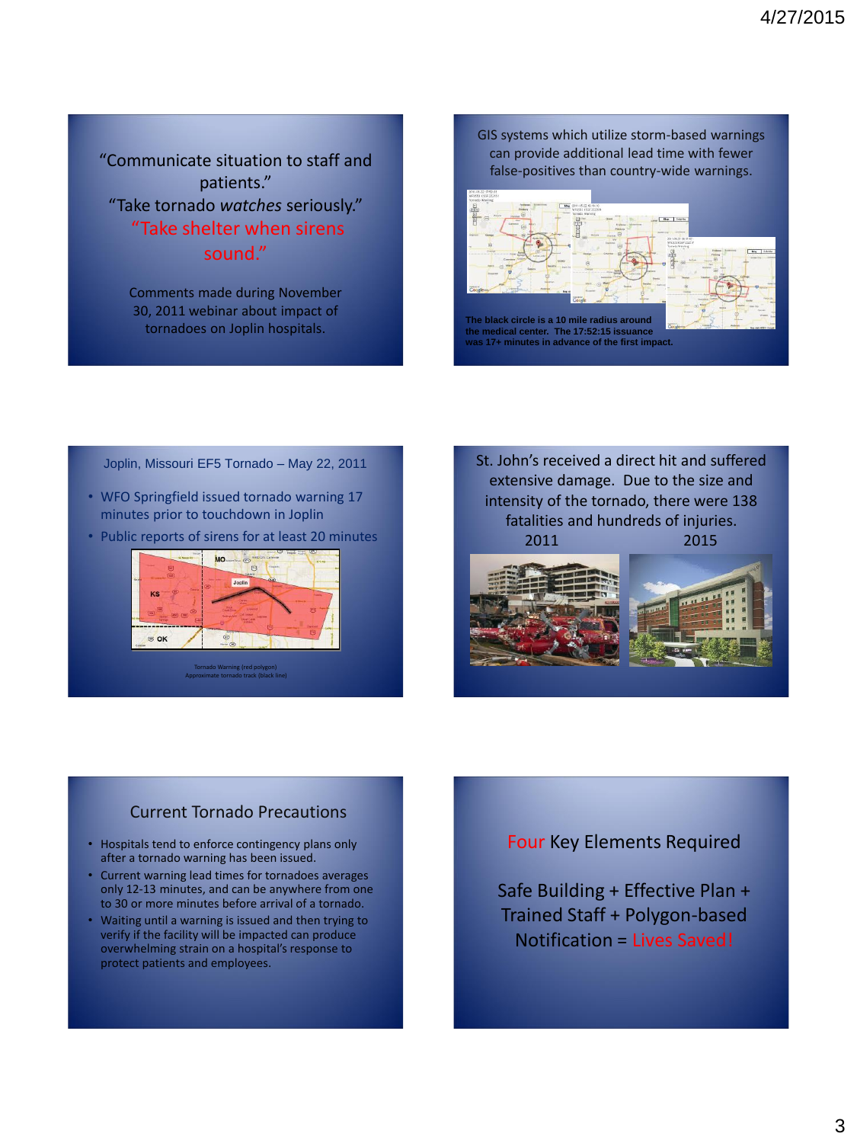"Communicate situation to staff and patients." "Take tornado *watches* seriously." "Take shelter when sirens sound."

> Comments made during November 30, 2011 webinar about impact of tornadoes on Joplin hospitals.

GIS systems which utilize storm-based warnings can provide additional lead time with fewer false-positives than country-wide warnings.



- WFO Springfield issued tornado warning 17 minutes prior to touchdown in Joplin
- Public reports of sirens for at least 20 minutes



Joplin, Missouri EF5 Tornado – May 22, 2011 St. John's received a direct hit and suffered extensive damage. Due to the size and intensity of the tornado, there were 138 fatalities and hundreds of injuries. 2011 2015





### Current Tornado Precautions

- Hospitals tend to enforce contingency plans only after a tornado warning has been issued.
- Current warning lead times for tornadoes averages only 12-13 minutes, and can be anywhere from one to 30 or more minutes before arrival of a tornado.
- Waiting until a warning is issued and then trying to verify if the facility will be impacted can produce overwhelming strain on a hospital's response to protect patients and employees.

### Four Key Elements Required

Safe Building + Effective Plan + Trained Staff + Polygon-based Notification = Lives Saved!